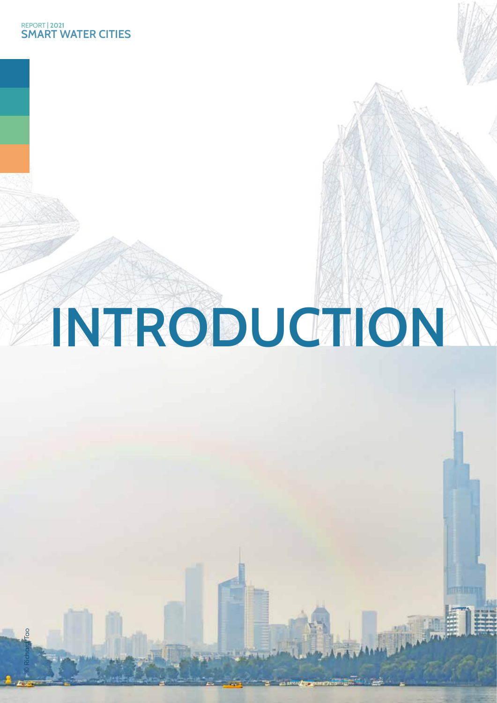**7.**

© Richard Tao

## **INTRODUCTION**

市耳加油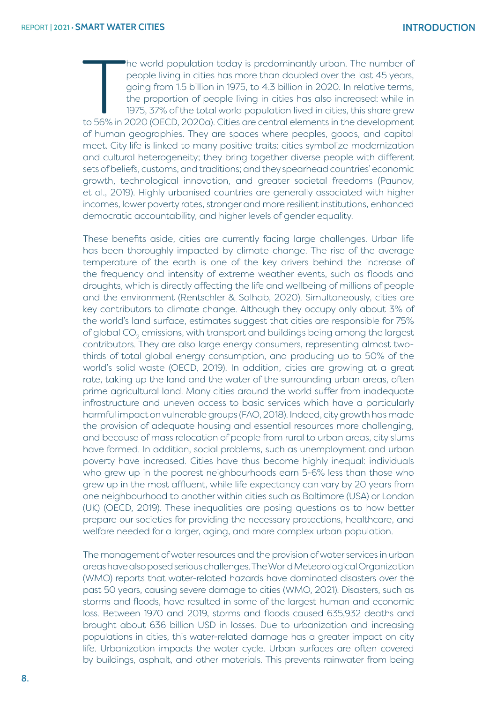The world population today is predominantly urban. The number of people living in cities has more than doubled over the last 45 years, going from 1.5 billion in 1975, to 4.3 billion in 2020. In relative terms, the proporti he world population today is predominantly urban. The number of people living in cities has more than doubled over the last 45 years, going from 1.5 billion in 1975, to 4.3 billion in 2020. In relative terms, the proportion of people living in cities has also increased: while in 1975, 37% of the total world population lived in cities, this share grew of human geographies. They are spaces where peoples, goods, and capital meet. City life is linked to many positive traits: cities symbolize modernization and cultural heterogeneity; they bring together diverse people with different sets of beliefs, customs, and traditions; and they spearhead countries' economic growth, technological innovation, and greater societal freedoms (Paunov, et al., 2019). Highly urbanised countries are generally associated with higher incomes, lower poverty rates, stronger and more resilient institutions, enhanced democratic accountability, and higher levels of gender equality.

These benefits aside, cities are currently facing large challenges. Urban life has been thoroughly impacted by climate change. The rise of the average temperature of the earth is one of the key drivers behind the increase of the frequency and intensity of extreme weather events, such as floods and droughts, which is directly affecting the life and wellbeing of millions of people and the environment (Rentschler & Salhab, 2020). Simultaneously, cities are key contributors to climate change. Although they occupy only about 3% of the world's land surface, estimates suggest that cities are responsible for 75% of global CO<sub>2</sub> emissions, with transport and buildings being among the largest contributors. They are also large energy consumers, representing almost twothirds of total global energy consumption, and producing up to 50% of the world's solid waste (OECD, 2019). In addition, cities are growing at a great rate, taking up the land and the water of the surrounding urban areas, often prime agricultural land. Many cities around the world suffer from inadequate infrastructure and uneven access to basic services which have a particularly harmful impact on vulnerable groups (FAO, 2018). Indeed, city growth has made the provision of adequate housing and essential resources more challenging, and because of mass relocation of people from rural to urban areas, city slums have formed. In addition, social problems, such as unemployment and urban poverty have increased. Cities have thus become highly inequal: individuals who grew up in the poorest neighbourhoods earn 5-6% less than those who grew up in the most affluent, while life expectancy can vary by 20 years from one neighbourhood to another within cities such as Baltimore (USA) or London (UK) (OECD, 2019). These inequalities are posing questions as to how better prepare our societies for providing the necessary protections, healthcare, and welfare needed for a larger, aging, and more complex urban population.

The management of water resources and the provision of water services in urban areas have also posed serious challenges. The World Meteorological Organization (WMO) reports that water-related hazards have dominated disasters over the past 50 years, causing severe damage to cities (WMO, 2021). Disasters, such as storms and floods, have resulted in some of the largest human and economic loss. Between 1970 and 2019, storms and floods caused 635,932 deaths and brought about 636 billion USD in losses. Due to urbanization and increasing populations in cities, this water-related damage has a greater impact on city life. Urbanization impacts the water cycle. Urban surfaces are often covered by buildings, asphalt, and other materials. This prevents rainwater from being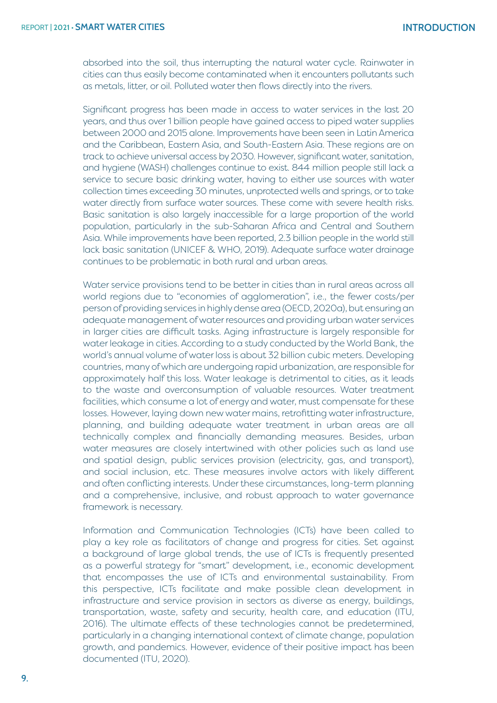absorbed into the soil, thus interrupting the natural water cycle. Rainwater in cities can thus easily become contaminated when it encounters pollutants such as metals, litter, or oil. Polluted water then flows directly into the rivers.

Significant progress has been made in access to water services in the last 20 years, and thus over 1 billion people have gained access to piped water supplies between 2000 and 2015 alone. Improvements have been seen in Latin America and the Caribbean, Eastern Asia, and South-Eastern Asia. These regions are on track to achieve universal access by 2030. However, significant water, sanitation, and hygiene (WASH) challenges continue to exist. 844 million people still lack a service to secure basic drinking water, having to either use sources with water collection times exceeding 30 minutes, unprotected wells and springs, or to take water directly from surface water sources. These come with severe health risks. Basic sanitation is also largely inaccessible for a large proportion of the world population, particularly in the sub-Saharan Africa and Central and Southern Asia. While improvements have been reported, 2.3 billion people in the world still lack basic sanitation (UNICEF & WHO, 2019). Adequate surface water drainage continues to be problematic in both rural and urban areas.

Water service provisions tend to be better in cities than in rural areas across all world regions due to "economies of agglomeration", i.e., the fewer costs/per person of providing services in highly dense area (OECD, 2020a), but ensuring an adequate management of water resources and providing urban water services in larger cities are difficult tasks. Aging infrastructure is largely responsible for water leakage in cities. According to a study conducted by the World Bank, the world's annual volume of water loss is about 32 billion cubic meters. Developing countries, many of which are undergoing rapid urbanization, are responsible for approximately half this loss. Water leakage is detrimental to cities, as it leads to the waste and overconsumption of valuable resources. Water treatment facilities, which consume a lot of energy and water, must compensate for these losses. However, laying down new water mains, retrofitting water infrastructure, planning, and building adequate water treatment in urban areas are all technically complex and financially demanding measures. Besides, urban water measures are closely intertwined with other policies such as land use and spatial design, public services provision (electricity, gas, and transport), and social inclusion, etc. These measures involve actors with likely different and often conflicting interests. Under these circumstances, long-term planning and a comprehensive, inclusive, and robust approach to water governance framework is necessary.

Information and Communication Technologies (ICTs) have been called to play a key role as facilitators of change and progress for cities. Set against a background of large global trends, the use of ICTs is frequently presented as a powerful strategy for "smart" development, i.e., economic development that encompasses the use of ICTs and environmental sustainability. From this perspective, ICTs facilitate and make possible clean development in infrastructure and service provision in sectors as diverse as energy, buildings, transportation, waste, safety and security, health care, and education (ITU, 2016). The ultimate effects of these technologies cannot be predetermined, particularly in a changing international context of climate change, population growth, and pandemics. However, evidence of their positive impact has been documented (ITU, 2020).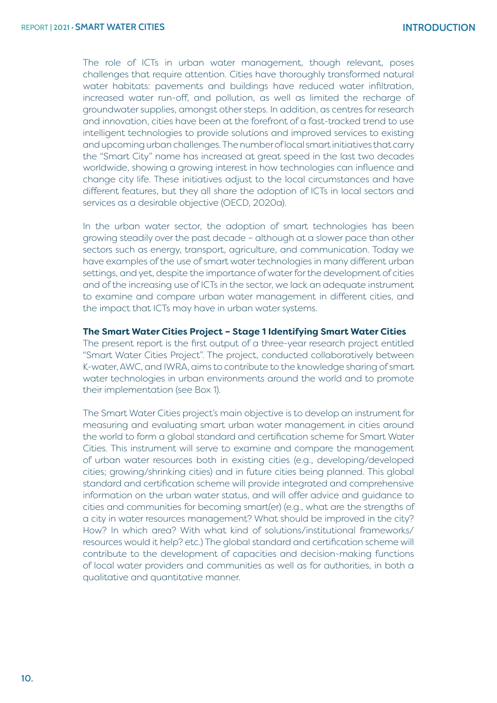The role of ICTs in urban water management, though relevant, poses challenges that require attention. Cities have thoroughly transformed natural water habitats: pavements and buildings have reduced water infiltration, increased water run-off, and pollution, as well as limited the recharge of groundwater supplies, amongst other steps. In addition, as centres for research and innovation, cities have been at the forefront of a fast-tracked trend to use intelligent technologies to provide solutions and improved services to existing and upcoming urban challenges. The number of local smart initiatives that carry the "Smart City" name has increased at great speed in the last two decades worldwide, showing a growing interest in how technologies can influence and change city life. These initiatives adjust to the local circumstances and have different features, but they all share the adoption of ICTs in local sectors and services as a desirable objective (OECD, 2020a).

In the urban water sector, the adoption of smart technologies has been growing steadily over the past decade – although at a slower pace than other sectors such as energy, transport, agriculture, and communication. Today we have examples of the use of smart water technologies in many different urban settings, and yet, despite the importance of water for the development of cities and of the increasing use of ICTs in the sector, we lack an adequate instrument to examine and compare urban water management in different cities, and the impact that ICTs may have in urban water systems.

## **The Smart Water Cities Project – Stage 1 Identifying Smart Water Cities**

The present report is the first output of a three-year research project entitled "Smart Water Cities Project". The project, conducted collaboratively between K-water, AWC, and IWRA, aims to contribute to the knowledge sharing of smart water technologies in urban environments around the world and to promote their implementation (see Box 1).

The Smart Water Cities project's main objective is to develop an instrument for measuring and evaluating smart urban water management in cities around the world to form a global standard and certification scheme for Smart Water Cities. This instrument will serve to examine and compare the management of urban water resources both in existing cities (e.g., developing/developed cities; growing/shrinking cities) and in future cities being planned. This global standard and certification scheme will provide integrated and comprehensive information on the urban water status, and will offer advice and guidance to cities and communities for becoming smart(er) (e.g., what are the strengths of a city in water resources management? What should be improved in the city? How? In which area? With what kind of solutions/institutional frameworks/ resources would it help? etc.) The global standard and certification scheme will contribute to the development of capacities and decision-making functions of local water providers and communities as well as for authorities, in both a qualitative and quantitative manner.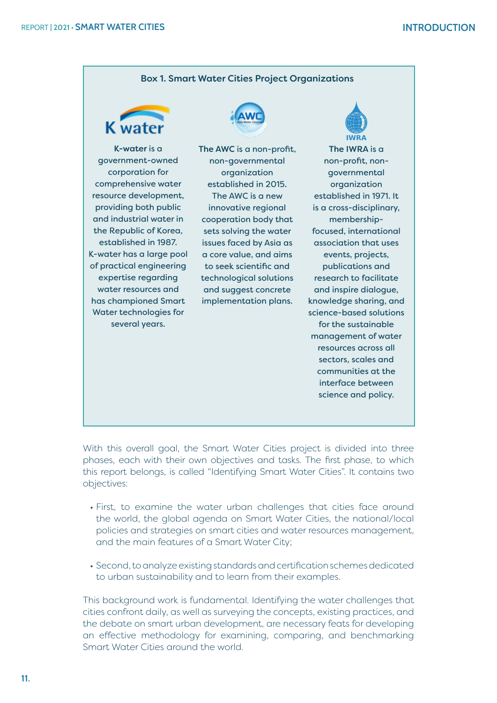## Box 1. Smart Water Cities Project Organizations



K-water is a government-owned corporation for comprehensive water resource development, providing both public and industrial water in the Republic of Korea, established in 1987. K-water has a large pool of practical engineering expertise regarding water resources and has championed Smart Water technologies for several years.



The AWC is a non-profit, non-governmental organization established in 2015. The AWC is a new innovative regional cooperation body that sets solving the water issues faced by Asia as a core value, and aims to seek scientific and technological solutions and suggest concrete implementation plans.



The IWRA is a non-profit, nongovernmental organization established in 1971. It is a cross-disciplinary, membershipfocused, international association that uses events, projects, publications and research to facilitate and inspire dialogue, knowledge sharing, and science-based solutions for the sustainable management of water resources across all sectors, scales and communities at the interface between science and policy.

With this overall goal, the Smart Water Cities project is divided into three phases, each with their own objectives and tasks. The first phase, to which this report belongs, is called "Identifying Smart Water Cities". It contains two objectives:

- First, to examine the water urban challenges that cities face around the world, the global agenda on Smart Water Cities, the national/local policies and strategies on smart cities and water resources management, and the main features of a Smart Water City;
- Second, to analyze existing standards and certification schemes dedicated to urban sustainability and to learn from their examples.

This background work is fundamental. Identifying the water challenges that cities confront daily, as well as surveying the concepts, existing practices, and the debate on smart urban development, are necessary feats for developing an effective methodology for examining, comparing, and benchmarking Smart Water Cities around the world.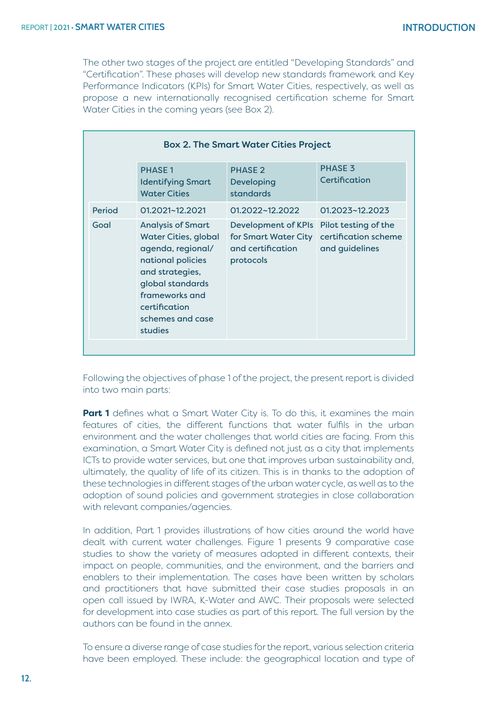The other two stages of the project are entitled "Developing Standards" and "Certification". These phases will develop new standards framework and Key Performance Indicators (KPIs) for Smart Water Cities, respectively, as well as propose a new internationally recognised certification scheme for Smart Water Cities in the coming years (see Box 2).

| <b>Box 2. The Smart Water Cities Project</b> |                                                                                                                                                                                                            |                                                                                      |                                                                |
|----------------------------------------------|------------------------------------------------------------------------------------------------------------------------------------------------------------------------------------------------------------|--------------------------------------------------------------------------------------|----------------------------------------------------------------|
|                                              | <b>PHASE1</b><br><b>Identifying Smart</b><br><b>Water Cities</b>                                                                                                                                           | <b>PHASE 2</b><br><b>Developing</b><br>standards                                     | <b>PHASE 3</b><br>Certification                                |
| Period                                       | 01.2021~12.2021                                                                                                                                                                                            | $01.2022 - 12.2022$                                                                  | 01.2023~12.2023                                                |
| Goal                                         | <b>Analysis of Smart</b><br><b>Water Cities, global</b><br>agenda, regional/<br>national policies<br>and strategies,<br>global standards<br>frameworks and<br>certification<br>schemes and case<br>studies | <b>Development of KPIs</b><br>for Smart Water City<br>and certification<br>protocols | Pilot testing of the<br>certification scheme<br>and guidelines |

Following the objectives of phase 1 of the project, the present report is divided into two main parts:

**Part 1** defines what a Smart Water City is. To do this, it examines the main features of cities, the different functions that water fulfils in the urban environment and the water challenges that world cities are facing. From this examination, a Smart Water City is defined not just as a city that implements ICTs to provide water services, but one that improves urban sustainability and, ultimately, the quality of life of its citizen. This is in thanks to the adoption of these technologies in different stages of the urban water cycle, as well as to the adoption of sound policies and government strategies in close collaboration with relevant companies/agencies.

In addition, Part 1 provides illustrations of how cities around the world have dealt with current water challenges. Figure 1 presents 9 comparative case studies to show the variety of measures adopted in different contexts, their impact on people, communities, and the environment, and the barriers and enablers to their implementation. The cases have been written by scholars and practitioners that have submitted their case studies proposals in an open call issued by IWRA, K-Water and AWC. Their proposals were selected for development into case studies as part of this report. The full version by the authors can be found in the annex.

To ensure a diverse range of case studies for the report, various selection criteria have been employed. These include: the geographical location and type of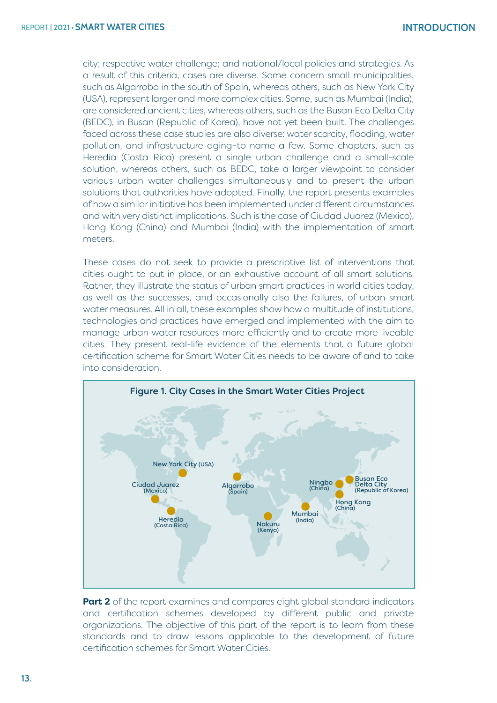city; respective water challenge; and national/local policies and strategies. As a result of this criteria, cases are diverse. Some concern small municipalities, such as Algarrobo in the south of Spain, whereas others, such as New York City (USA), represent larger and more complex cities. Some, such as Mumbai (India), are considered ancient cities, whereas others, such as the Busan Eco Delta City (BEDC), in Busan (Republic of Korea), have not yet been built. The challenges faced across these case studies are also diverse: water scarcity, flooding, water pollution, and infrastructure aging–to name a few. Some chapters, such as Heredia (Costa Rica) present a single urban challenge and a small-scale solution, whereas others, such as BEDC, take a larger viewpoint to consider various urban water challenges simultaneously and to present the urban solutions that authorities have adopted. Finally, the report presents examples of how a similar initiative has been implemented under different circumstances and with very distinct implications. Such is the case of Ciudad Juarez (Mexico), Hong Kong (China) and Mumbai (India) with the implementation of smart meters.

These cases do not seek to provide a prescriptive list of interventions that cities ought to put in place, or an exhaustive account of all smart solutions. Rather, they illustrate the status of urban smart practices in world cities today, as well as the successes, and occasionally also the failures, of urban smart water measures. All in all, these examples show how a multitude of institutions, technologies and practices have emerged and implemented with the aim to manage urban water resources more efficiently and to create more liveable cities. They present real-life evidence of the elements that a future global certification scheme for Smart Water Cities needs to be aware of and to take into consideration.



**Part 2** of the report examines and compares eight global standard indicators and certification schemes developed by different public and private organizations. The objective of this part of the report is to learn from these standards and to draw lessons applicable to the development of future certification schemes for Smart Water Cities.